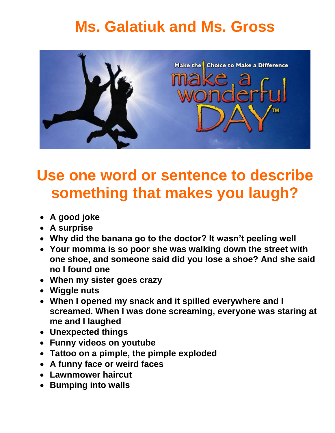## **Ms. Galatiuk and Ms. Gross**



### **Use one word or sentence to describe something that makes you laugh?**

- **A good joke**
- **A surprise**
- **Why did the banana go to the doctor? It wasn"t peeling well**
- **Your momma is so poor she was walking down the street with one shoe, and someone said did you lose a shoe? And she said no I found one**
- **When my sister goes crazy**
- **Wiggle nuts**
- **When I opened my snack and it spilled everywhere and I screamed. When I was done screaming, everyone was staring at me and I laughed**
- **Unexpected things**
- **Funny videos on youtube**
- **Tattoo on a pimple, the pimple exploded**
- **A funny face or weird faces**
- **Lawnmower haircut**
- **Bumping into walls**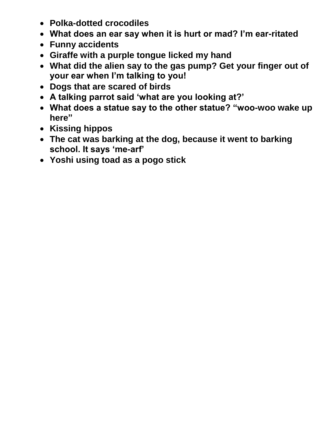- **Polka-dotted crocodiles**
- **What does an ear say when it is hurt or mad? I"m ear-ritated**
- **Funny accidents**
- **Giraffe with a purple tongue licked my hand**
- **What did the alien say to the gas pump? Get your finger out of your ear when I"m talking to you!**
- **Dogs that are scared of birds**
- **A talking parrot said "what are you looking at?"**
- **What does a statue say to the other statue? "woo-woo wake up here"**
- **Kissing hippos**
- **The cat was barking at the dog, because it went to barking school. It says "me-arf"**
- **Yoshi using toad as a pogo stick**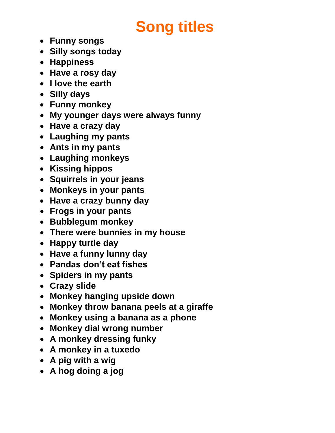# **Song titles**

- **Funny songs**
- **Silly songs today**
- **Happiness**
- **Have a rosy day**
- **I love the earth**
- **Silly days**
- **Funny monkey**
- **My younger days were always funny**
- **Have a crazy day**
- **Laughing my pants**
- **Ants in my pants**
- **Laughing monkeys**
- **Kissing hippos**
- **Squirrels in your jeans**
- **Monkeys in your pants**
- **Have a crazy bunny day**
- **Frogs in your pants**
- **Bubblegum monkey**
- **There were bunnies in my house**
- **Happy turtle day**
- **Have a funny lunny day**
- **Pandas don"t eat fishes**
- **Spiders in my pants**
- **Crazy slide**
- **Monkey hanging upside down**
- **Monkey throw banana peels at a giraffe**
- **Monkey using a banana as a phone**
- **Monkey dial wrong number**
- **A monkey dressing funky**
- **A monkey in a tuxedo**
- **A pig with a wig**
- **A hog doing a jog**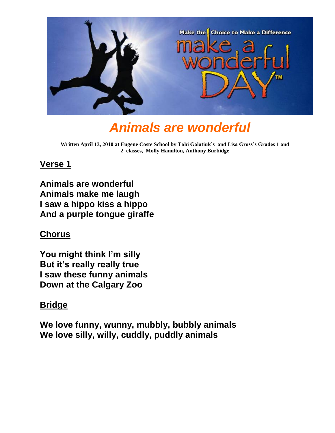

### *Animals are wonderful*

**Written April 13, 2010 at Eugene Coste School by Tobi Galatiuk's and Lisa Gross's Grades 1 and 2 classes, Molly Hamilton, Anthony Burbidge**

#### **Verse 1**

**Animals are wonderful Animals make me laugh I saw a hippo kiss a hippo And a purple tongue giraffe**

#### **Chorus**

 **You might think I"m silly But it"s really really true I saw these funny animals Down at the Calgary Zoo**

#### **Bridge**

**We love funny, wunny, mubbly, bubbly animals We love silly, willy, cuddly, puddly animals**